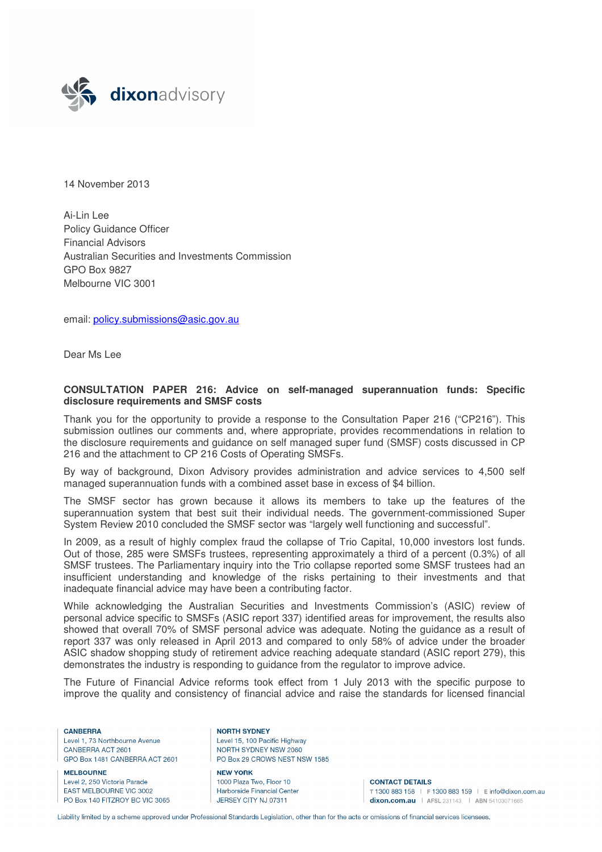

14 November 2013

Ai-Lin Lee Policy Guidance Officer Financial Advisors Australian Securities and Investments Commission GPO Box 9827 Melbourne VIC 3001

email: policy.submissions@asic.gov.au

Dear Ms Lee

### **CONSULTATION PAPER 216: Advice on self-managed superannuation funds: Specific disclosure requirements and SMSF costs**

Thank you for the opportunity to provide a response to the Consultation Paper 216 ("CP216"). This submission outlines our comments and, where appropriate, provides recommendations in relation to the disclosure requirements and guidance on self managed super fund (SMSF) costs discussed in CP 216 and the attachment to CP 216 Costs of Operating SMSFs.

By way of background, Dixon Advisory provides administration and advice services to 4,500 self managed superannuation funds with a combined asset base in excess of \$4 billion.

The SMSF sector has grown because it allows its members to take up the features of the superannuation system that best suit their individual needs. The government-commissioned Super System Review 2010 concluded the SMSF sector was "largely well functioning and successful".

In 2009, as a result of highly complex fraud the collapse of Trio Capital, 10,000 investors lost funds. Out of those, 285 were SMSFs trustees, representing approximately a third of a percent (0.3%) of all SMSF trustees. The Parliamentary inquiry into the Trio collapse reported some SMSF trustees had an insufficient understanding and knowledge of the risks pertaining to their investments and that inadequate financial advice may have been a contributing factor.

While acknowledging the Australian Securities and Investments Commission's (ASIC) review of personal advice specific to SMSFs (ASIC report 337) identified areas for improvement, the results also showed that overall 70% of SMSF personal advice was adequate. Noting the guidance as a result of report 337 was only released in April 2013 and compared to only 58% of advice under the broader ASIC shadow shopping study of retirement advice reaching adequate standard (ASIC report 279), this demonstrates the industry is responding to guidance from the regulator to improve advice.

The Future of Financial Advice reforms took effect from 1 July 2013 with the specific purpose to improve the quality and consistency of financial advice and raise the standards for licensed financial

CANRERRA Level 1, 73 Northbourne Avenue CANBERRA ACT 2601 GPO Box 1481 CANBERRA ACT 2601

**MELBOURNE** Level 2, 250 Victoria Parade **FAST MELBOURNE VIC 3002** PO Box 140 FITZROY BC VIC 3065 **NORTH SYDNEY** Level 15, 100 Pacific Highway NORTH SYDNEY NSW 2060 PO Box 29 CROWS NEST NSW 1585

**NEW YORK** 1000 Plaza Two, Floor 10 Harborside Financial Center JERSEY CITY NJ 07311

**CONTACT DETAILS** T 1300 883 158 | F 1300 883 159 | E info@dixon.com.au dixon.com.au | AFSL 231143 | ABN 54103071665

Liability limited by a scheme approved under Professional Standards Legislation, other than for the acts or omissions of financial services licensees.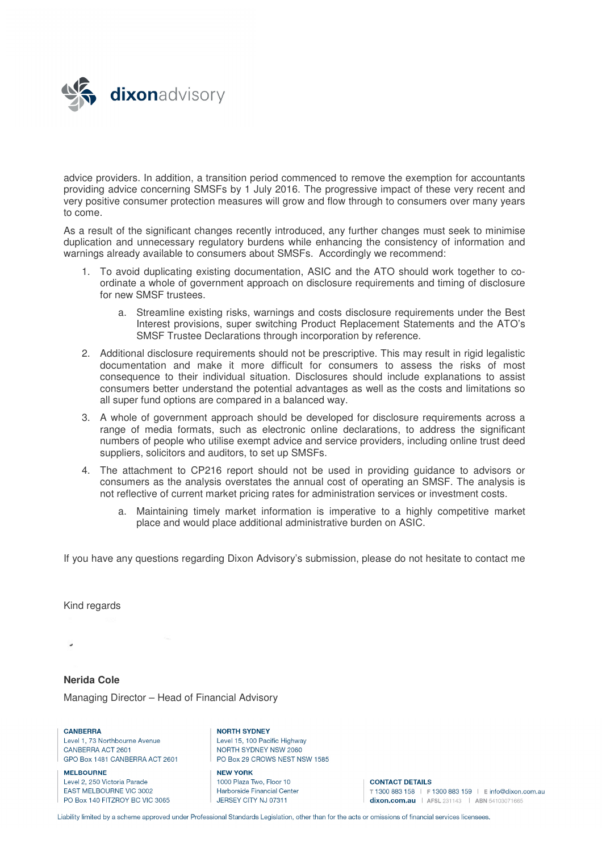

advice providers. In addition, a transition period commenced to remove the exemption for accountants providing advice concerning SMSFs by 1 July 2016. The progressive impact of these very recent and very positive consumer protection measures will grow and flow through to consumers over many years to come.

As a result of the significant changes recently introduced, any further changes must seek to minimise duplication and unnecessary regulatory burdens while enhancing the consistency of information and warnings already available to consumers about SMSFs. Accordingly we recommend:

- 1. To avoid duplicating existing documentation, ASIC and the ATO should work together to coordinate a whole of government approach on disclosure requirements and timing of disclosure for new SMSF trustees.
	- a. Streamline existing risks, warnings and costs disclosure requirements under the Best Interest provisions, super switching Product Replacement Statements and the ATO's SMSF Trustee Declarations through incorporation by reference.
- 2. Additional disclosure requirements should not be prescriptive. This may result in rigid legalistic documentation and make it more difficult for consumers to assess the risks of most consequence to their individual situation. Disclosures should include explanations to assist consumers better understand the potential advantages as well as the costs and limitations so all super fund options are compared in a balanced way.
- 3. A whole of government approach should be developed for disclosure requirements across a range of media formats, such as electronic online declarations, to address the significant numbers of people who utilise exempt advice and service providers, including online trust deed suppliers, solicitors and auditors, to set up SMSFs.
- 4. The attachment to CP216 report should not be used in providing guidance to advisors or consumers as the analysis overstates the annual cost of operating an SMSF. The analysis is not reflective of current market pricing rates for administration services or investment costs.
	- a. Maintaining timely market information is imperative to a highly competitive market place and would place additional administrative burden on ASIC.

If you have any questions regarding Dixon Advisory's submission, please do not hesitate to contact me

Kind regards

# **Nerida Cole**

Managing Director – Head of Financial Advisory

CANRERRA Level 1, 73 Northbourne Avenue CANBERRA ACT 2601 GPO Box 1481 CANBERRA ACT 2601

**MELBOURNE** Level 2, 250 Victoria Parade FAST MELBOURNE VIC 3002 PO Box 140 FITZROY BC VIC 3065

**NORTH SYDNEY** Level 15, 100 Pacific Highway NORTH SYDNEY NSW 2060 PO Box 29 CROWS NEST NSW 1585

**NEW YORK** 1000 Plaza Two, Floor 10 Harborside Financial Center JERSEY CITY NJ 07311

**CONTACT DETAILS** T 1300 883 158 | F 1300 883 159 | E info@dixon.com.au dixon.com.au | AFSL 231143 | ABN 54103071665

Liability limited by a scheme approved under Professional Standards Legislation, other than for the acts or omissions of financial services licensees.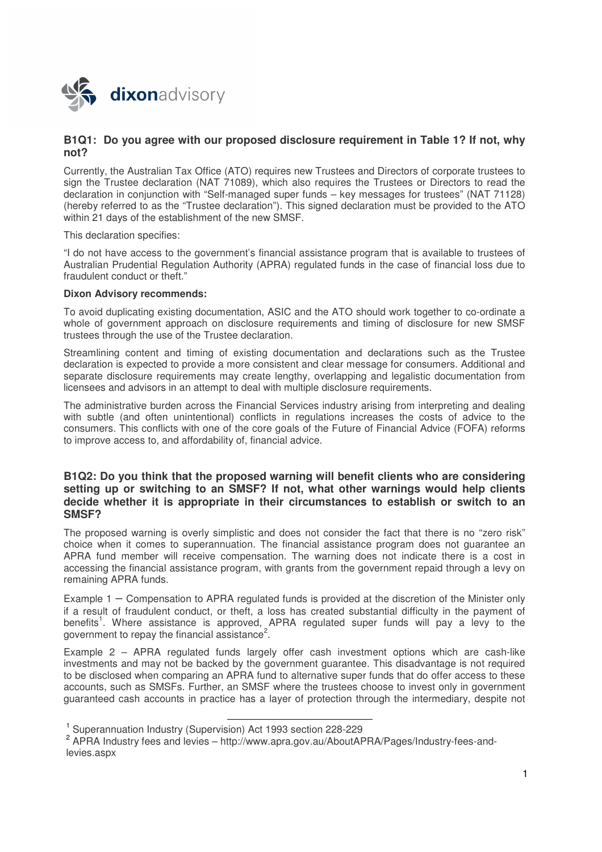

## **B1Q1: Do you agree with our proposed disclosure requirement in Table 1? If not, why not?**

Currently, the Australian Tax Office (ATO) requires new Trustees and Directors of corporate trustees to sign the Trustee declaration (NAT 71089), which also requires the Trustees or Directors to read the declaration in conjunction with "Self-managed super funds – key messages for trustees" (NAT 71128) (hereby referred to as the "Trustee declaration"). This signed declaration must be provided to the ATO within 21 days of the establishment of the new SMSF.

This declaration specifies:

"I do not have access to the government's financial assistance program that is available to trustees of Australian Prudential Regulation Authority (APRA) regulated funds in the case of financial loss due to fraudulent conduct or theft."

### **Dixon Advisory recommends:**

To avoid duplicating existing documentation, ASIC and the ATO should work together to co-ordinate a whole of government approach on disclosure requirements and timing of disclosure for new SMSF trustees through the use of the Trustee declaration.

Streamlining content and timing of existing documentation and declarations such as the Trustee declaration is expected to provide a more consistent and clear message for consumers. Additional and separate disclosure requirements may create lengthy, overlapping and legalistic documentation from licensees and advisors in an attempt to deal with multiple disclosure requirements.

The administrative burden across the Financial Services industry arising from interpreting and dealing with subtle (and often unintentional) conflicts in regulations increases the costs of advice to the consumers. This conflicts with one of the core goals of the Future of Financial Advice (FOFA) reforms to improve access to, and affordability of, financial advice.

### **B1Q2: Do you think that the proposed warning will benefit clients who are considering setting up or switching to an SMSF? If not, what other warnings would help clients decide whether it is appropriate in their circumstances to establish or switch to an SMSF?**

The proposed warning is overly simplistic and does not consider the fact that there is no "zero risk" choice when it comes to superannuation. The financial assistance program does not guarantee an APRA fund member will receive compensation. The warning does not indicate there is a cost in accessing the financial assistance program, with grants from the government repaid through a levy on remaining APRA funds.

Example 1 – Compensation to APRA regulated funds is provided at the discretion of the Minister only if a result of fraudulent conduct, or theft, a loss has created substantial difficulty in the payment of benefits<sup>1</sup>. Where assistance is approved, APRA regulated super funds will pay a levy to the government to repay the financial assistance<sup>2</sup> .

Example 2 – APRA regulated funds largely offer cash investment options which are cash-like investments and may not be backed by the government guarantee. This disadvantage is not required to be disclosed when comparing an APRA fund to alternative super funds that do offer access to these accounts, such as SMSFs. Further, an SMSF where the trustees choose to invest only in government guaranteed cash accounts in practice has a layer of protection through the intermediary, despite not

l

<sup>1</sup> Superannuation Industry (Supervision) Act 1993 section 228-229

<sup>&</sup>lt;sup>2</sup> APRA Industry fees and levies - http://www.apra.gov.au/AboutAPRA/Pages/Industry-fees-andlevies.aspx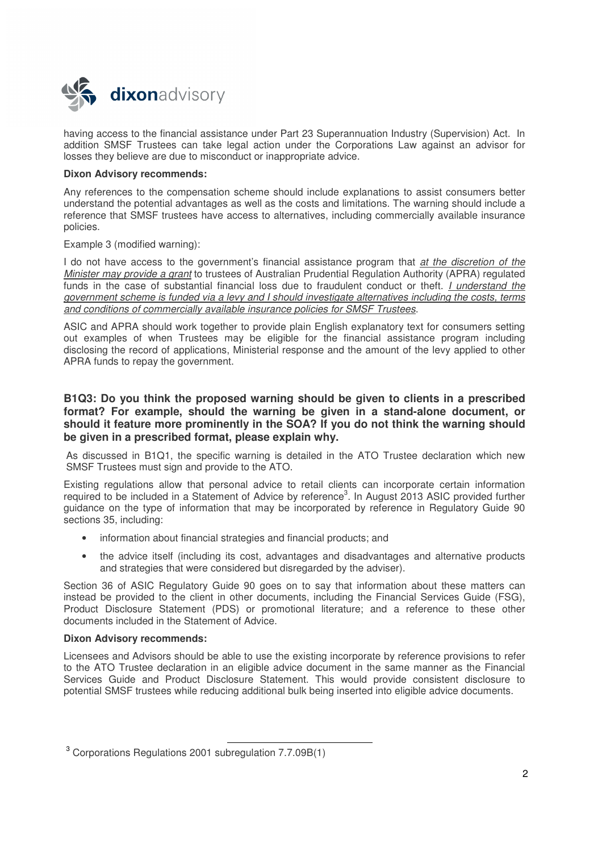

having access to the financial assistance under Part 23 Superannuation Industry (Supervision) Act. In addition SMSF Trustees can take legal action under the Corporations Law against an advisor for losses they believe are due to misconduct or inappropriate advice.

### **Dixon Advisory recommends:**

Any references to the compensation scheme should include explanations to assist consumers better understand the potential advantages as well as the costs and limitations. The warning should include a reference that SMSF trustees have access to alternatives, including commercially available insurance policies.

Example 3 (modified warning):

I do not have access to the government's financial assistance program that *at the discretion of the* Minister may provide a grant to trustees of Australian Prudential Regulation Authority (APRA) regulated funds in the case of substantial financial loss due to fraudulent conduct or theft. I understand the government scheme is funded via a levy and I should investigate alternatives including the costs, terms and conditions of commercially available insurance policies for SMSF Trustees.

ASIC and APRA should work together to provide plain English explanatory text for consumers setting out examples of when Trustees may be eligible for the financial assistance program including disclosing the record of applications, Ministerial response and the amount of the levy applied to other APRA funds to repay the government.

### **B1Q3: Do you think the proposed warning should be given to clients in a prescribed format? For example, should the warning be given in a stand-alone document, or should it feature more prominently in the SOA? If you do not think the warning should be given in a prescribed format, please explain why.**

As discussed in B1Q1, the specific warning is detailed in the ATO Trustee declaration which new SMSF Trustees must sign and provide to the ATO.

Existing regulations allow that personal advice to retail clients can incorporate certain information required to be included in a Statement of Advice by reference<sup>3</sup>. In August 2013 ASIC provided further guidance on the type of information that may be incorporated by reference in Regulatory Guide 90 sections 35, including:

- information about financial strategies and financial products; and
- the advice itself (including its cost, advantages and disadvantages and alternative products and strategies that were considered but disregarded by the adviser).

Section 36 of ASIC Regulatory Guide 90 goes on to say that information about these matters can instead be provided to the client in other documents, including the Financial Services Guide (FSG), Product Disclosure Statement (PDS) or promotional literature; and a reference to these other documents included in the Statement of Advice.

#### **Dixon Advisory recommends:**

Licensees and Advisors should be able to use the existing incorporate by reference provisions to refer to the ATO Trustee declaration in an eligible advice document in the same manner as the Financial Services Guide and Product Disclosure Statement. This would provide consistent disclosure to potential SMSF trustees while reducing additional bulk being inserted into eligible advice documents.

-

 $3$  Corporations Regulations 2001 subregulation 7.7.09B(1)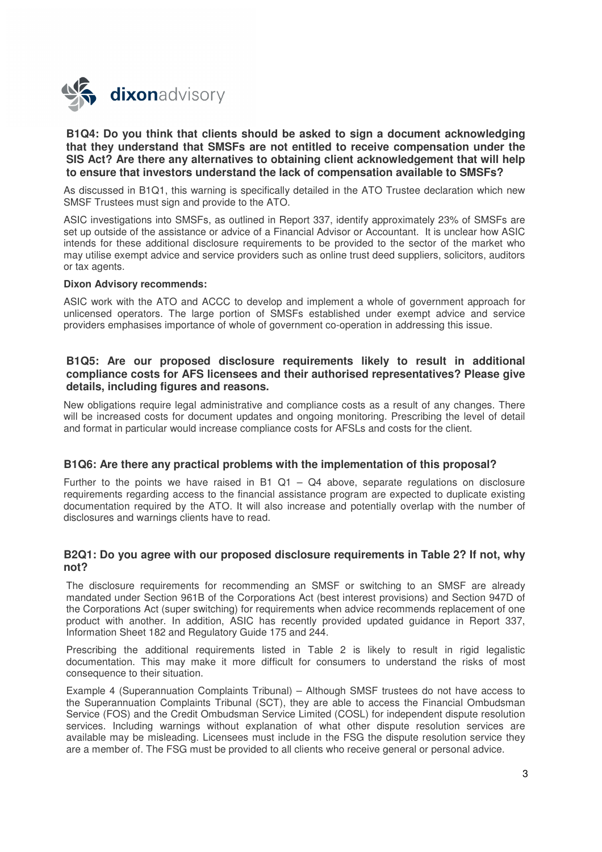

### **B1Q4: Do you think that clients should be asked to sign a document acknowledging that they understand that SMSFs are not entitled to receive compensation under the SIS Act? Are there any alternatives to obtaining client acknowledgement that will help to ensure that investors understand the lack of compensation available to SMSFs?**

As discussed in B1Q1, this warning is specifically detailed in the ATO Trustee declaration which new SMSF Trustees must sign and provide to the ATO.

ASIC investigations into SMSFs, as outlined in Report 337, identify approximately 23% of SMSFs are set up outside of the assistance or advice of a Financial Advisor or Accountant. It is unclear how ASIC intends for these additional disclosure requirements to be provided to the sector of the market who may utilise exempt advice and service providers such as online trust deed suppliers, solicitors, auditors or tax agents.

#### **Dixon Advisory recommends:**

ASIC work with the ATO and ACCC to develop and implement a whole of government approach for unlicensed operators. The large portion of SMSFs established under exempt advice and service providers emphasises importance of whole of government co-operation in addressing this issue.

### **B1Q5: Are our proposed disclosure requirements likely to result in additional compliance costs for AFS licensees and their authorised representatives? Please give details, including figures and reasons.**

New obligations require legal administrative and compliance costs as a result of any changes. There will be increased costs for document updates and ongoing monitoring. Prescribing the level of detail and format in particular would increase compliance costs for AFSLs and costs for the client.

### **B1Q6: Are there any practical problems with the implementation of this proposal?**

Further to the points we have raised in B1  $Q1 - Q4$  above, separate regulations on disclosure requirements regarding access to the financial assistance program are expected to duplicate existing documentation required by the ATO. It will also increase and potentially overlap with the number of disclosures and warnings clients have to read.

### **B2Q1: Do you agree with our proposed disclosure requirements in Table 2? If not, why not?**

The disclosure requirements for recommending an SMSF or switching to an SMSF are already mandated under Section 961B of the Corporations Act (best interest provisions) and Section 947D of the Corporations Act (super switching) for requirements when advice recommends replacement of one product with another. In addition, ASIC has recently provided updated guidance in Report 337, Information Sheet 182 and Regulatory Guide 175 and 244.

Prescribing the additional requirements listed in Table 2 is likely to result in rigid legalistic documentation. This may make it more difficult for consumers to understand the risks of most consequence to their situation.

Example 4 (Superannuation Complaints Tribunal) – Although SMSF trustees do not have access to the Superannuation Complaints Tribunal (SCT), they are able to access the Financial Ombudsman Service (FOS) and the Credit Ombudsman Service Limited (COSL) for independent dispute resolution services. Including warnings without explanation of what other dispute resolution services are available may be misleading. Licensees must include in the FSG the dispute resolution service they are a member of. The FSG must be provided to all clients who receive general or personal advice.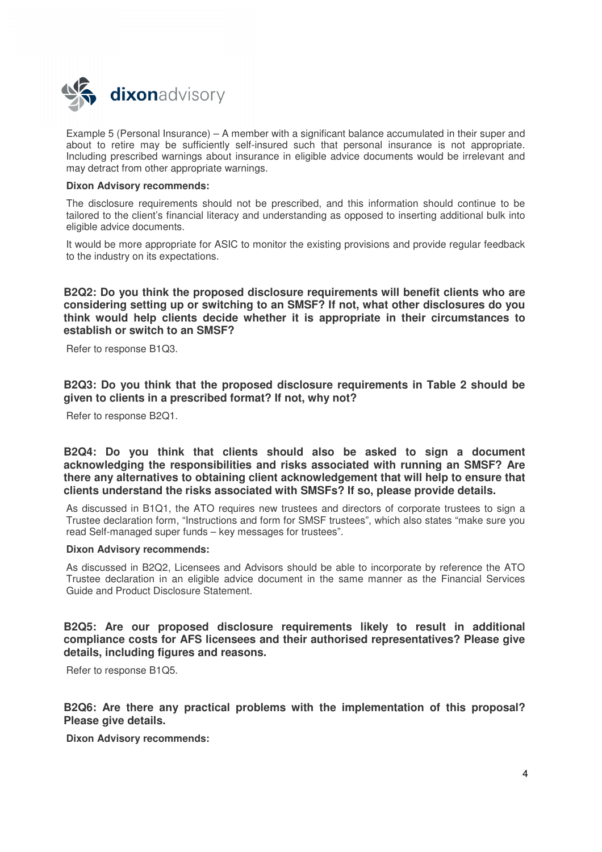

Example 5 (Personal Insurance) – A member with a significant balance accumulated in their super and about to retire may be sufficiently self-insured such that personal insurance is not appropriate. Including prescribed warnings about insurance in eligible advice documents would be irrelevant and may detract from other appropriate warnings.

### **Dixon Advisory recommends:**

The disclosure requirements should not be prescribed, and this information should continue to be tailored to the client's financial literacy and understanding as opposed to inserting additional bulk into eligible advice documents.

It would be more appropriate for ASIC to monitor the existing provisions and provide regular feedback to the industry on its expectations.

## **B2Q2: Do you think the proposed disclosure requirements will benefit clients who are considering setting up or switching to an SMSF? If not, what other disclosures do you think would help clients decide whether it is appropriate in their circumstances to establish or switch to an SMSF?**

Refer to response B1Q3.

**B2Q3: Do you think that the proposed disclosure requirements in Table 2 should be given to clients in a prescribed format? If not, why not?** 

Refer to response B2Q1.

**B2Q4: Do you think that clients should also be asked to sign a document acknowledging the responsibilities and risks associated with running an SMSF? Are there any alternatives to obtaining client acknowledgement that will help to ensure that clients understand the risks associated with SMSFs? If so, please provide details.** 

As discussed in B1Q1, the ATO requires new trustees and directors of corporate trustees to sign a Trustee declaration form, "Instructions and form for SMSF trustees", which also states "make sure you read Self-managed super funds – key messages for trustees".

### **Dixon Advisory recommends:**

As discussed in B2Q2, Licensees and Advisors should be able to incorporate by reference the ATO Trustee declaration in an eligible advice document in the same manner as the Financial Services Guide and Product Disclosure Statement.

**B2Q5: Are our proposed disclosure requirements likely to result in additional compliance costs for AFS licensees and their authorised representatives? Please give details, including figures and reasons.** 

Refer to response B1Q5.

**B2Q6: Are there any practical problems with the implementation of this proposal? Please give details.** 

**Dixon Advisory recommends:**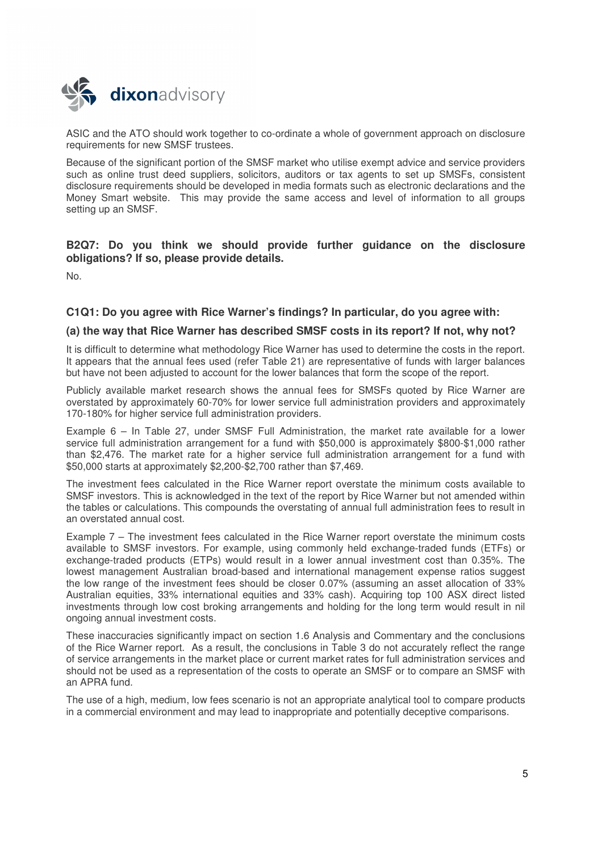

ASIC and the ATO should work together to co-ordinate a whole of government approach on disclosure requirements for new SMSF trustees.

Because of the significant portion of the SMSF market who utilise exempt advice and service providers such as online trust deed suppliers, solicitors, auditors or tax agents to set up SMSFs, consistent disclosure requirements should be developed in media formats such as electronic declarations and the Money Smart website. This may provide the same access and level of information to all groups setting up an SMSF.

**B2Q7: Do you think we should provide further guidance on the disclosure obligations? If so, please provide details.** 

No.

### **C1Q1: Do you agree with Rice Warner's findings? In particular, do you agree with:**

### **(a) the way that Rice Warner has described SMSF costs in its report? If not, why not?**

It is difficult to determine what methodology Rice Warner has used to determine the costs in the report. It appears that the annual fees used (refer Table 21) are representative of funds with larger balances but have not been adjusted to account for the lower balances that form the scope of the report.

Publicly available market research shows the annual fees for SMSFs quoted by Rice Warner are overstated by approximately 60-70% for lower service full administration providers and approximately 170-180% for higher service full administration providers.

Example 6 – In Table 27, under SMSF Full Administration, the market rate available for a lower service full administration arrangement for a fund with \$50,000 is approximately \$800-\$1,000 rather than \$2,476. The market rate for a higher service full administration arrangement for a fund with \$50,000 starts at approximately \$2,200-\$2,700 rather than \$7,469.

The investment fees calculated in the Rice Warner report overstate the minimum costs available to SMSF investors. This is acknowledged in the text of the report by Rice Warner but not amended within the tables or calculations. This compounds the overstating of annual full administration fees to result in an overstated annual cost.

Example 7 – The investment fees calculated in the Rice Warner report overstate the minimum costs available to SMSF investors. For example, using commonly held exchange-traded funds (ETFs) or exchange-traded products (ETPs) would result in a lower annual investment cost than 0.35%. The lowest management Australian broad-based and international management expense ratios suggest the low range of the investment fees should be closer 0.07% (assuming an asset allocation of 33% Australian equities, 33% international equities and 33% cash). Acquiring top 100 ASX direct listed investments through low cost broking arrangements and holding for the long term would result in nil ongoing annual investment costs.

These inaccuracies significantly impact on section 1.6 Analysis and Commentary and the conclusions of the Rice Warner report. As a result, the conclusions in Table 3 do not accurately reflect the range of service arrangements in the market place or current market rates for full administration services and should not be used as a representation of the costs to operate an SMSF or to compare an SMSF with an APRA fund.

The use of a high, medium, low fees scenario is not an appropriate analytical tool to compare products in a commercial environment and may lead to inappropriate and potentially deceptive comparisons.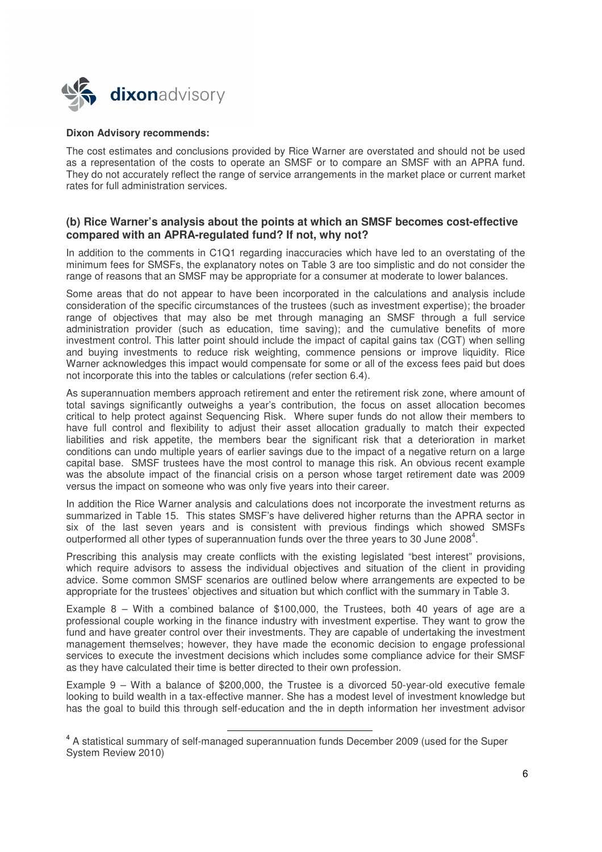

#### **Dixon Advisory recommends:**

The cost estimates and conclusions provided by Rice Warner are overstated and should not be used as a representation of the costs to operate an SMSF or to compare an SMSF with an APRA fund. They do not accurately reflect the range of service arrangements in the market place or current market rates for full administration services.

### **(b) Rice Warner's analysis about the points at which an SMSF becomes cost-effective compared with an APRA-regulated fund? If not, why not?**

In addition to the comments in C1Q1 regarding inaccuracies which have led to an overstating of the minimum fees for SMSFs, the explanatory notes on Table 3 are too simplistic and do not consider the range of reasons that an SMSF may be appropriate for a consumer at moderate to lower balances.

Some areas that do not appear to have been incorporated in the calculations and analysis include consideration of the specific circumstances of the trustees (such as investment expertise); the broader range of objectives that may also be met through managing an SMSF through a full service administration provider (such as education, time saving); and the cumulative benefits of more investment control. This latter point should include the impact of capital gains tax (CGT) when selling and buying investments to reduce risk weighting, commence pensions or improve liquidity. Rice Warner acknowledges this impact would compensate for some or all of the excess fees paid but does not incorporate this into the tables or calculations (refer section 6.4).

As superannuation members approach retirement and enter the retirement risk zone, where amount of total savings significantly outweighs a year's contribution, the focus on asset allocation becomes critical to help protect against Sequencing Risk. Where super funds do not allow their members to have full control and flexibility to adjust their asset allocation gradually to match their expected liabilities and risk appetite, the members bear the significant risk that a deterioration in market conditions can undo multiple years of earlier savings due to the impact of a negative return on a large capital base. SMSF trustees have the most control to manage this risk. An obvious recent example was the absolute impact of the financial crisis on a person whose target retirement date was 2009 versus the impact on someone who was only five years into their career.

In addition the Rice Warner analysis and calculations does not incorporate the investment returns as summarized in Table 15. This states SMSF's have delivered higher returns than the APRA sector in six of the last seven years and is consistent with previous findings which showed SMSFs outperformed all other types of superannuation funds over the three years to 30 June 2008<sup>4</sup>.

Prescribing this analysis may create conflicts with the existing legislated "best interest" provisions, which require advisors to assess the individual objectives and situation of the client in providing advice. Some common SMSF scenarios are outlined below where arrangements are expected to be appropriate for the trustees' objectives and situation but which conflict with the summary in Table 3.

Example 8 – With a combined balance of \$100,000, the Trustees, both 40 years of age are a professional couple working in the finance industry with investment expertise. They want to grow the fund and have greater control over their investments. They are capable of undertaking the investment management themselves; however, they have made the economic decision to engage professional services to execute the investment decisions which includes some compliance advice for their SMSF as they have calculated their time is better directed to their own profession.

Example 9 – With a balance of \$200,000, the Trustee is a divorced 50-year-old executive female looking to build wealth in a tax-effective manner. She has a modest level of investment knowledge but has the goal to build this through self-education and the in depth information her investment advisor

-

<sup>&</sup>lt;sup>4</sup> A statistical summary of self-managed superannuation funds December 2009 (used for the Super System Review 2010)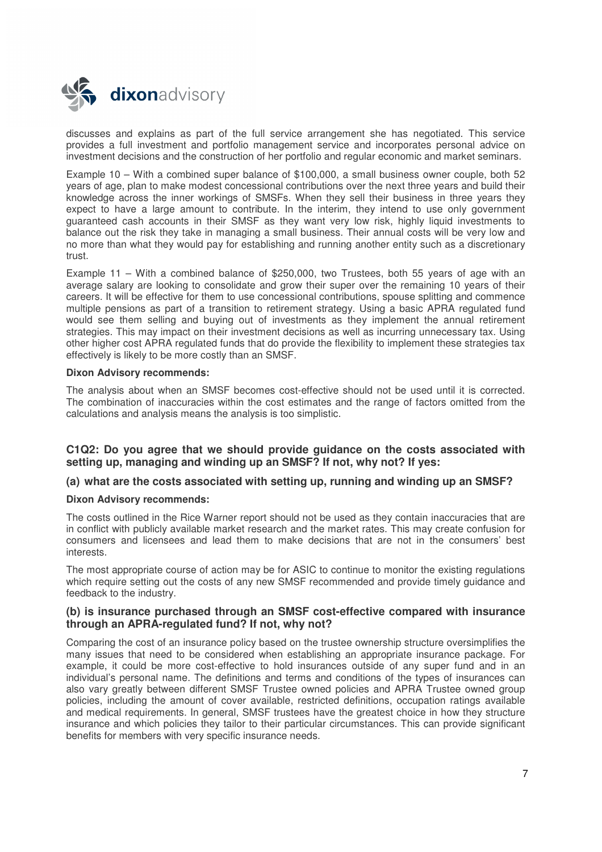

discusses and explains as part of the full service arrangement she has negotiated. This service provides a full investment and portfolio management service and incorporates personal advice on investment decisions and the construction of her portfolio and regular economic and market seminars.

Example 10 – With a combined super balance of \$100,000, a small business owner couple, both 52 years of age, plan to make modest concessional contributions over the next three years and build their knowledge across the inner workings of SMSFs. When they sell their business in three years they expect to have a large amount to contribute. In the interim, they intend to use only government guaranteed cash accounts in their SMSF as they want very low risk, highly liquid investments to balance out the risk they take in managing a small business. Their annual costs will be very low and no more than what they would pay for establishing and running another entity such as a discretionary trust.

Example 11 – With a combined balance of \$250,000, two Trustees, both 55 years of age with an average salary are looking to consolidate and grow their super over the remaining 10 years of their careers. It will be effective for them to use concessional contributions, spouse splitting and commence multiple pensions as part of a transition to retirement strategy. Using a basic APRA regulated fund would see them selling and buying out of investments as they implement the annual retirement strategies. This may impact on their investment decisions as well as incurring unnecessary tax. Using other higher cost APRA regulated funds that do provide the flexibility to implement these strategies tax effectively is likely to be more costly than an SMSF.

### **Dixon Advisory recommends:**

The analysis about when an SMSF becomes cost-effective should not be used until it is corrected. The combination of inaccuracies within the cost estimates and the range of factors omitted from the calculations and analysis means the analysis is too simplistic.

### **C1Q2: Do you agree that we should provide guidance on the costs associated with setting up, managing and winding up an SMSF? If not, why not? If yes:**

### **(a) what are the costs associated with setting up, running and winding up an SMSF?**

#### **Dixon Advisory recommends:**

The costs outlined in the Rice Warner report should not be used as they contain inaccuracies that are in conflict with publicly available market research and the market rates. This may create confusion for consumers and licensees and lead them to make decisions that are not in the consumers' best interests.

The most appropriate course of action may be for ASIC to continue to monitor the existing regulations which require setting out the costs of any new SMSF recommended and provide timely guidance and feedback to the industry.

### **(b) is insurance purchased through an SMSF cost-effective compared with insurance through an APRA-regulated fund? If not, why not?**

Comparing the cost of an insurance policy based on the trustee ownership structure oversimplifies the many issues that need to be considered when establishing an appropriate insurance package. For example, it could be more cost-effective to hold insurances outside of any super fund and in an individual's personal name. The definitions and terms and conditions of the types of insurances can also vary greatly between different SMSF Trustee owned policies and APRA Trustee owned group policies, including the amount of cover available, restricted definitions, occupation ratings available and medical requirements. In general, SMSF trustees have the greatest choice in how they structure insurance and which policies they tailor to their particular circumstances. This can provide significant benefits for members with very specific insurance needs.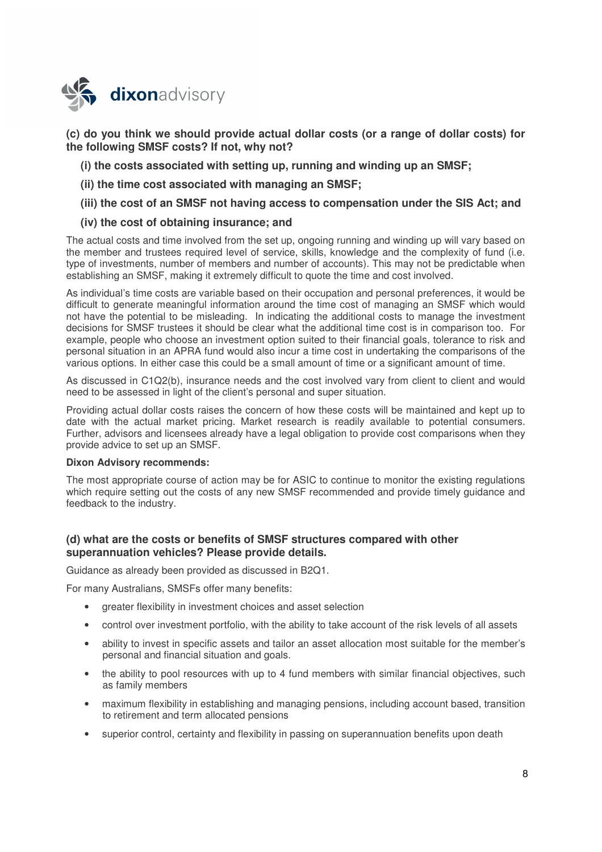

**(c) do you think we should provide actual dollar costs (or a range of dollar costs) for the following SMSF costs? If not, why not?** 

- **(i) the costs associated with setting up, running and winding up an SMSF;**
- **(ii) the time cost associated with managing an SMSF;**
- **(iii) the cost of an SMSF not having access to compensation under the SIS Act; and**

## **(iv) the cost of obtaining insurance; and**

The actual costs and time involved from the set up, ongoing running and winding up will vary based on the member and trustees required level of service, skills, knowledge and the complexity of fund (i.e. type of investments, number of members and number of accounts). This may not be predictable when establishing an SMSF, making it extremely difficult to quote the time and cost involved.

As individual's time costs are variable based on their occupation and personal preferences, it would be difficult to generate meaningful information around the time cost of managing an SMSF which would not have the potential to be misleading. In indicating the additional costs to manage the investment decisions for SMSF trustees it should be clear what the additional time cost is in comparison too. For example, people who choose an investment option suited to their financial goals, tolerance to risk and personal situation in an APRA fund would also incur a time cost in undertaking the comparisons of the various options. In either case this could be a small amount of time or a significant amount of time.

As discussed in C1Q2(b), insurance needs and the cost involved vary from client to client and would need to be assessed in light of the client's personal and super situation.

Providing actual dollar costs raises the concern of how these costs will be maintained and kept up to date with the actual market pricing. Market research is readily available to potential consumers. Further, advisors and licensees already have a legal obligation to provide cost comparisons when they provide advice to set up an SMSF.

#### **Dixon Advisory recommends:**

The most appropriate course of action may be for ASIC to continue to monitor the existing regulations which require setting out the costs of any new SMSF recommended and provide timely guidance and feedback to the industry.

## **(d) what are the costs or benefits of SMSF structures compared with other superannuation vehicles? Please provide details.**

Guidance as already been provided as discussed in B2Q1.

For many Australians, SMSFs offer many benefits:

- greater flexibility in investment choices and asset selection
- control over investment portfolio, with the ability to take account of the risk levels of all assets
- ability to invest in specific assets and tailor an asset allocation most suitable for the member's personal and financial situation and goals.
- the ability to pool resources with up to 4 fund members with similar financial objectives, such as family members
- maximum flexibility in establishing and managing pensions, including account based, transition to retirement and term allocated pensions
- superior control, certainty and flexibility in passing on superannuation benefits upon death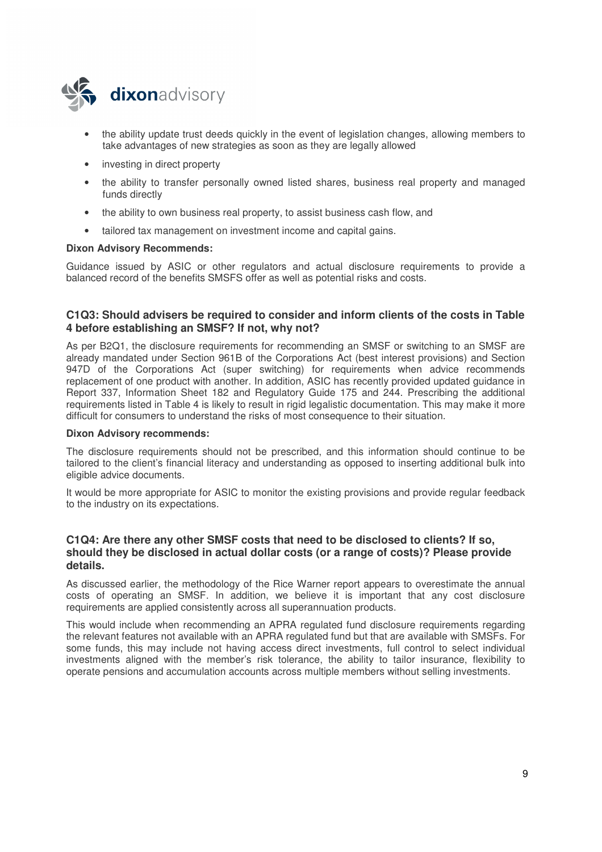

- the ability update trust deeds quickly in the event of legislation changes, allowing members to take advantages of new strategies as soon as they are legally allowed
- investing in direct property
- the ability to transfer personally owned listed shares, business real property and managed funds directly
- the ability to own business real property, to assist business cash flow, and
- tailored tax management on investment income and capital gains.

### **Dixon Advisory Recommends:**

Guidance issued by ASIC or other regulators and actual disclosure requirements to provide a balanced record of the benefits SMSFS offer as well as potential risks and costs.

## **C1Q3: Should advisers be required to consider and inform clients of the costs in Table 4 before establishing an SMSF? If not, why not?**

As per B2Q1, the disclosure requirements for recommending an SMSF or switching to an SMSF are already mandated under Section 961B of the Corporations Act (best interest provisions) and Section 947D of the Corporations Act (super switching) for requirements when advice recommends replacement of one product with another. In addition, ASIC has recently provided updated guidance in Report 337, Information Sheet 182 and Regulatory Guide 175 and 244. Prescribing the additional requirements listed in Table 4 is likely to result in rigid legalistic documentation. This may make it more difficult for consumers to understand the risks of most consequence to their situation.

#### **Dixon Advisory recommends:**

The disclosure requirements should not be prescribed, and this information should continue to be tailored to the client's financial literacy and understanding as opposed to inserting additional bulk into eligible advice documents.

It would be more appropriate for ASIC to monitor the existing provisions and provide regular feedback to the industry on its expectations.

### **C1Q4: Are there any other SMSF costs that need to be disclosed to clients? If so, should they be disclosed in actual dollar costs (or a range of costs)? Please provide details.**

As discussed earlier, the methodology of the Rice Warner report appears to overestimate the annual costs of operating an SMSF. In addition, we believe it is important that any cost disclosure requirements are applied consistently across all superannuation products.

This would include when recommending an APRA regulated fund disclosure requirements regarding the relevant features not available with an APRA regulated fund but that are available with SMSFs. For some funds, this may include not having access direct investments, full control to select individual investments aligned with the member's risk tolerance, the ability to tailor insurance, flexibility to operate pensions and accumulation accounts across multiple members without selling investments.